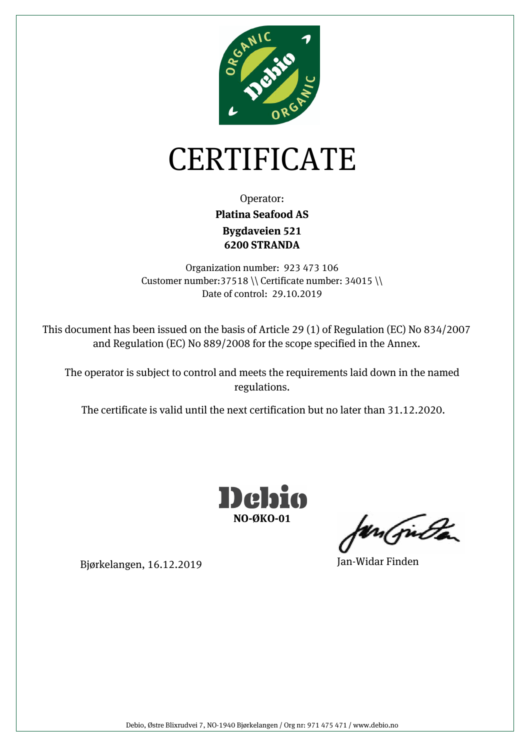

## CERTIFICATE

Operator: **Bygdaveien 521 6200 STRANDA Platina Seafood AS** 

Organization number: 923 473 106 Customer number:37518 \\ Certificate number: 34015 \\ Date of control: 29.10.2019

This document has been issued on the basis of Article 29 (1) of Regulation (EC) No 834/2007 and Regulation (EC) No 889/2008 for the scope specified in the Annex.

The operator is subject to control and meets the requirements laid down in the named regulations.

The certificate is valid until the next certification but no later than 31.12.2020.



un (juda

Bjørkelangen, 16.12.2019 Jan-Widar Finden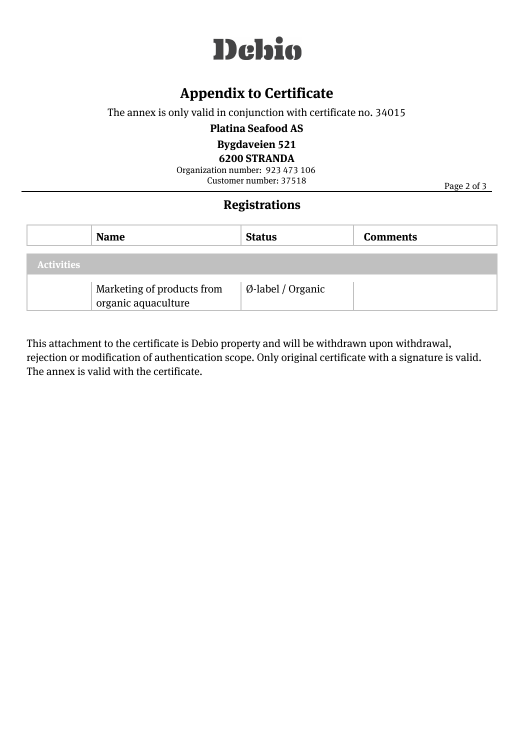

### **Appendix to Certificate**

The annex is only valid in conjunction with certificate no. 34015

**Platina Seafood AS** 

**Bygdaveien 521** 

**6200 STRANDA**

Customer number: 37518 Organization number: 923 473 106

Page 2 of 3

#### **Registrations**

|                   | <b>Name</b>                                       | <b>Status</b>                | <b>Comments</b> |
|-------------------|---------------------------------------------------|------------------------------|-----------------|
| <b>Activities</b> |                                                   |                              |                 |
|                   | Marketing of products from<br>organic aquaculture | $\emptyset$ -label / Organic |                 |

This attachment to the certificate is Debio property and will be withdrawn upon withdrawal, rejection or modification of authentication scope. Only original certificate with a signature is valid. The annex is valid with the certificate.